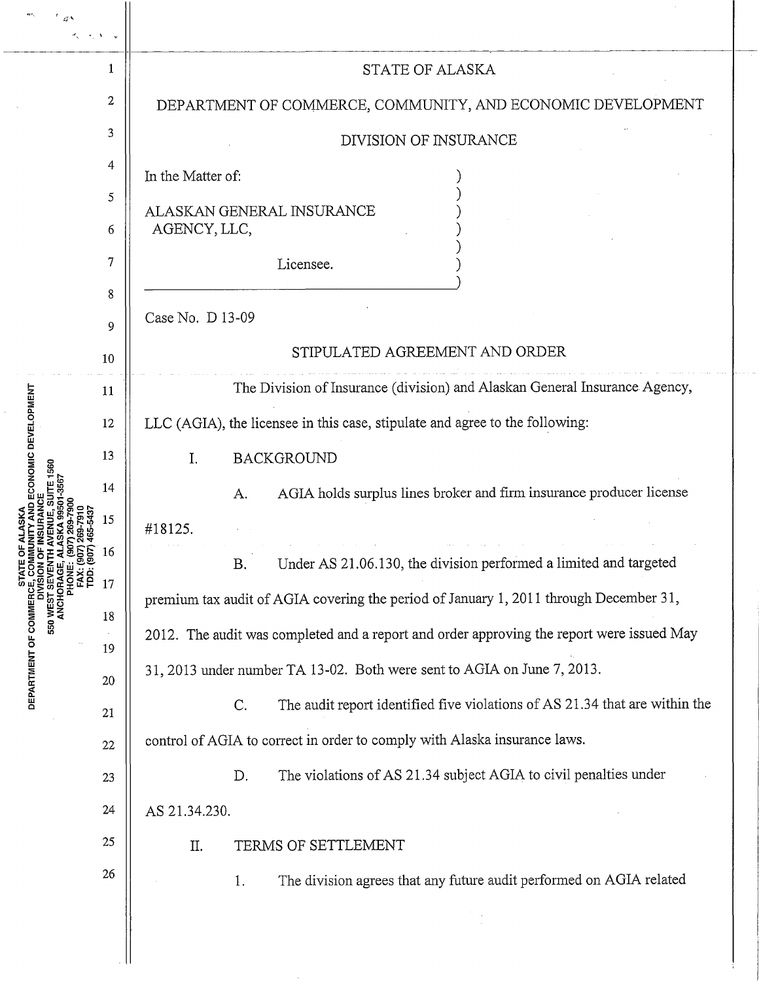|                                                                              |                             | 1        | <b>STATE OF ALASKA</b>                                                                    |
|------------------------------------------------------------------------------|-----------------------------|----------|-------------------------------------------------------------------------------------------|
|                                                                              |                             | 2        | DEPARTMENT OF COMMERCE, COMMUNITY, AND ECONOMIC DEVELOPMENT                               |
|                                                                              |                             | 3        | DIVISION OF INSURANCE                                                                     |
| ECONOMIC DEVELOPMENT<br>STATE<br>CE, COM<br>MISION<br>DEPARTMENT OF COMMERCE |                             | 4        | In the Matter of:                                                                         |
|                                                                              |                             | 5        | ALASKAN GENERAL INSURANCE                                                                 |
|                                                                              |                             | 6        | AGENCY, LLC,                                                                              |
|                                                                              |                             | 7<br>8   | Licensee.                                                                                 |
|                                                                              |                             | 9        | Case No. D 13-09                                                                          |
|                                                                              |                             | 10       | STIPULATED AGREEMENT AND ORDER                                                            |
|                                                                              | E 1560<br>SEVEN<br>550 WEST | 11       | The Division of Insurance (division) and Alaskan General Insurance Agency,                |
|                                                                              |                             | 12       | LLC (AGIA), the licensee in this case, stipulate and agree to the following:              |
|                                                                              |                             | 13       | <b>BACKGROUND</b><br>I.                                                                   |
|                                                                              |                             | 14       | AGIA holds surplus lines broker and firm insurance producer license<br>A.                 |
|                                                                              |                             | 15       | #18125.                                                                                   |
|                                                                              |                             |          | <b>B.</b><br>Under AS 21.06.130, the division performed a limited and targeted            |
|                                                                              |                             | 17       | premium tax audit of AGIA covering the period of January 1, 2011 through December 31,     |
|                                                                              |                             | 18       | 2012. The audit was completed and a report and order approving the report were issued May |
|                                                                              |                             | 19<br>20 | 31, 2013 under number TA 13-02. Both were sent to AGIA on June 7, 2013.                   |
|                                                                              |                             | 21       | The audit report identified five violations of AS 21.34 that are within the<br>C.         |
|                                                                              |                             | $22\,$   | control of AGIA to correct in order to comply with Alaska insurance laws.                 |
|                                                                              |                             | 23       | The violations of AS 21.34 subject AGIA to civil penalties under<br>D.                    |
|                                                                              |                             | 24       | AS 21.34.230.                                                                             |
|                                                                              |                             | 25       | TERMS OF SETTLEMENT<br>Π.                                                                 |
|                                                                              |                             | 26       | The division agrees that any future audit performed on AGIA related<br>1.                 |
|                                                                              |                             |          |                                                                                           |
|                                                                              |                             |          |                                                                                           |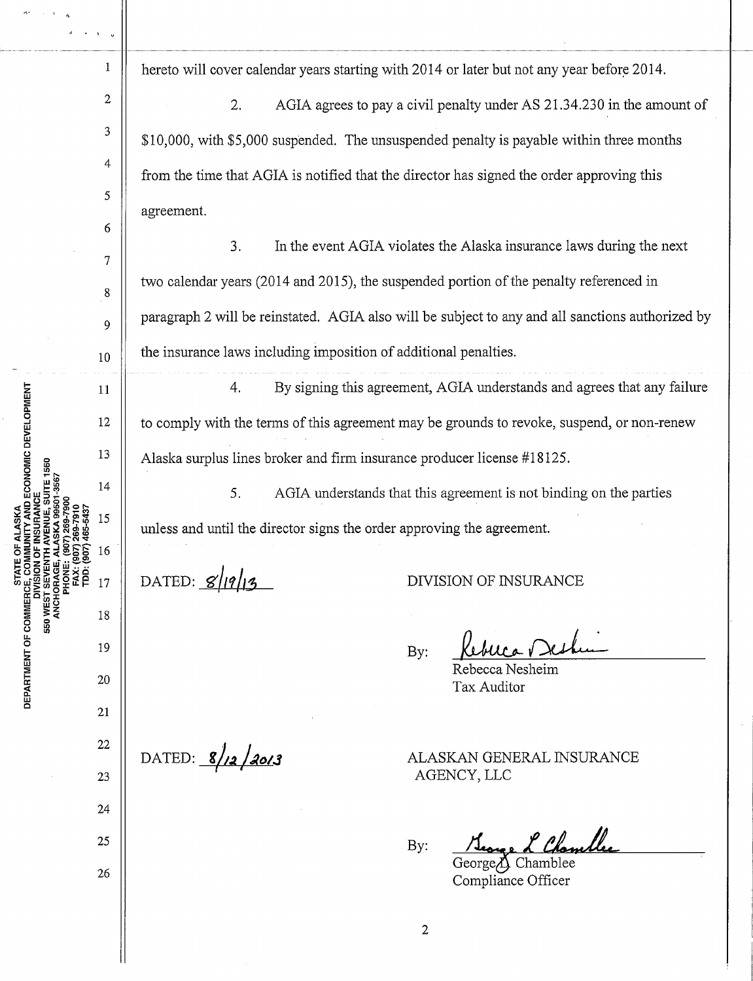<sup>1</sup>  $\parallel$  hereto will cover calendar years starting with 2014 or later but not any year before 2014.

2. AGIA agrees to pay a civil penalty under AS 21.34.230 in the amount of \$10,000, with \$5,000 suspended. The unsuspended penalty is payable within three months from the time that AGIA is notified that the director has signed the order approving this agreement.

3. In the event AGIA violates the Alaska insurance laws during the next two calendar years (2014 and 2015), the suspended portion of the penalty referenced in paragraph 2 will be reinstated. AGIA also will be subject to any and all sanctions authorized by the insurance laws including imposition of additional penalties.

4. By signing this agreement, AGIA understands and agrees that any failure to comply with the terms of this agreement may be grounds to revoke, suspend, or non-renew Alaska surplus lines broker and firm insurance producer license #18125.

5. AGIA understands that this agreement is not binding on the parties unless and until the director signs the order approving the agreement.

DATED:  $g||q||_3$ 

DIVISION OF INSURANCE

By:

Rebecca Nesheim Tax Auditor

ALASKAN GENERAL INSURANCE AGENCY,LLC

<u>L Chambles</u> By:

George $\Lambda$  Chamblee Compliance Officer

DATED: 8/12/2013

MUNITY AND ECONOMIC DEVELOPMENT STATE OF ALASKA DEPARTMENT OF COMMERCE, COMI 550 WEST I "

2

3

4

5

6

7

8

9

10

11

12

13

14

15

16

 $17$ 

18

19

20

21

22

23

24

25

26

2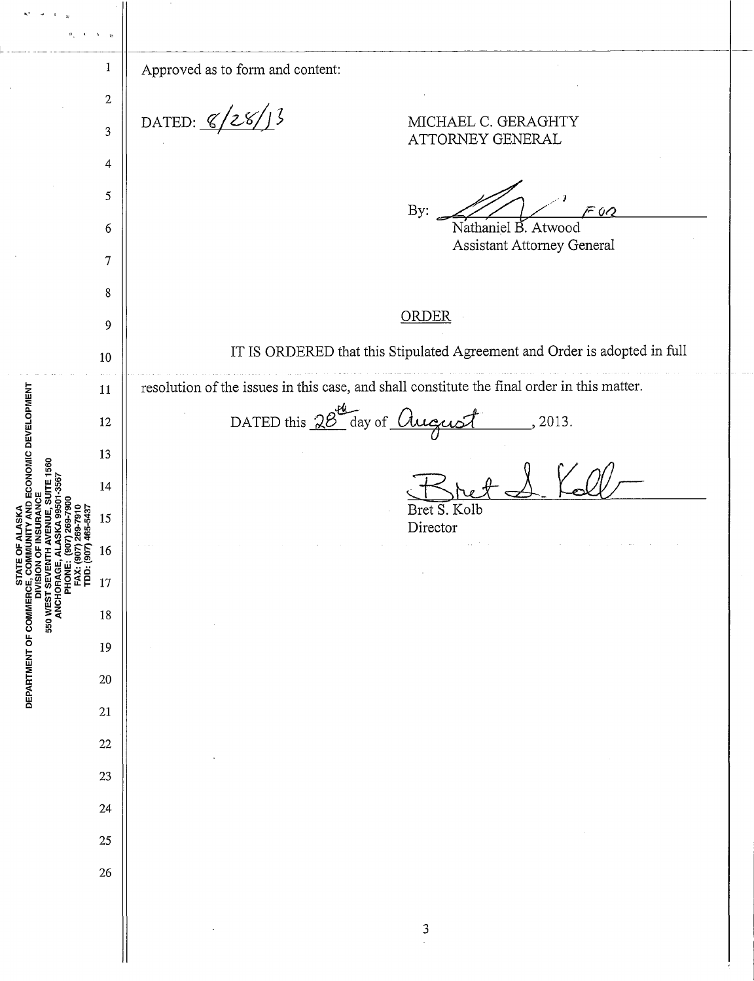$\epsilon$  $\sqrt{t}$  $\sigma$  $\vert$  Approved as to form and content: 2 DATED:  $\frac{8}{28}$ MICHAEL C. GERAGHTY 3 ATTORNEY GENERAL 4 By:  $\mathcal{L}/\mathcal{L}$   $\mathcal{F}$  or 5 6 Nathaniel B. Atwood Assistant Attorney General 7 8 ORDER 9 IT IS ORDERED that this Stipulated Agreement and Order is adopted in full 10 resolution of the issues in this case, and shall constitute the final order in this matter. STATE OF ALASKA<br>E, COMMUNITY AND ECONOMIC DEVELOPMENT<br>E, COMMUNITY AND ECONOMIC DEVELOPMENT 11 DATED this  $28^{44}$  day of  $Ququst$ , 2013. 12 13 ENUE, SUITE 1560  $14$ SION OF INSURANCE Bret S. 15 Director 16 550 WEST SEY 17 DEPARTMENT OF COMMERCE ANCHOR 18 19 20 21 22 23 24 25 26 3